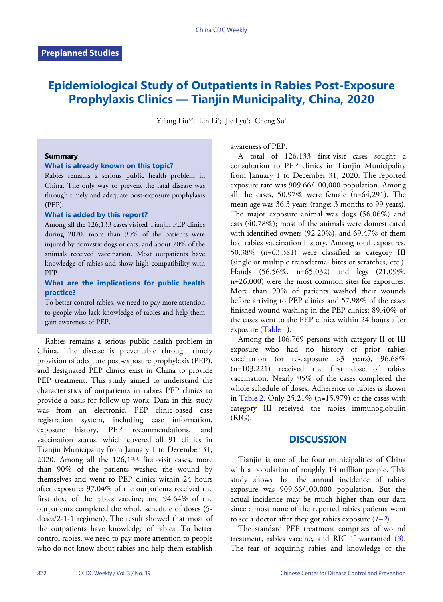# **Epidemiological Study of Outpatients in Rabies Post-Exposure Prophylaxis Clinics — Tianjin Municipality, China, 2020**

Yifang Liu<sup>1,#</sup>; Lin Li<sup>1</sup>; Jie Lyu<sup>1</sup>; Cheng Su<sup>1</sup>

#### **Summary**

## **What is already known on this topic?**

Rabies remains a serious public health problem in China. The only way to prevent the fatal disease was through timely and adequate post-exposure prophylaxis (PEP).

#### **What is added by this report?**

Among all the 126,133 cases visited Tianjin PEP clinics during 2020, more than 90% of the patients were injured by domestic dogs or cats, and about 70% of the animals received vaccination. Most outpatients have knowledge of rabies and show high compatibility with PEP.

#### **What are the implications for public health practice?**

To better control rabies, we need to pay more attention to people who lack knowledge of rabies and help them gain awareness of PEP.

Rabies remains a serious public health problem in China. The disease is preventable through timely provision of adequate post-exposure prophylaxis (PEP), and designated PEP clinics exist in China to provide PEP treatment. This study aimed to understand the characteristics of outpatients in rabies PEP clinics to provide a basis for follow-up work. Data in this study was from an electronic, PEP clinic-based case registration system, including case information, exposure history, PEP recommendations, and vaccination status, which covered all 91 clinics in Tianjin Municipality from January 1 to December 31, 2020. Among all the 126,133 first-visit cases, more than 90% of the patients washed the wound by themselves and went to PEP clinics within 24 hours after exposure; 97.04% of the outpatients received the first dose of the rabies vaccine; and 94.64% of the outpatients completed the whole schedule of doses (5 doses/2-1-1 regimen). The result showed that most of the outpatients have knowledge of rabies. To better control rabies, we need to pay more attention to people who do not know about rabies and help them establish

awareness of PEP.

A total of 126,133 first-visit cases sought a consultation to PEP clinics in Tianjin Municipality from January 1 to December 31, 2020. The reported exposure rate was 909.66/100,000 population. Among all the cases,  $50.97\%$  were female  $(n=64,291)$ . The mean age was 36.3 years (range: 3 months to 99 years). The major exposure animal was dogs (56.06%) and cats (40.78%); most of the animals were domesticated with identified owners (92.20%), and 69.47% of them had rabies vaccination history. Among total exposures, 50.38% (n=63,381) were classified as category III (single or multiple transdermal bites or scratches, etc.). Hands (56.56%, n=65,032) and legs (21.09%, n=26,000) were the most common sites for exposures. More than 90% of patients washed their wounds before arriving to PEP clinics and 57.98% of the cases finished wound-washing in the PEP clinics; 89.40% of the cases went to the PEP clinics within 24 hours after exposure [\(Table 1\)](#page-1-0).

Among the 106,769 persons with category II or III exposure who had no history of prior rabies vaccination (or re-exposure  $>3$  years), 96.68%  $(n=103,221)$  received the first dose of rabies vaccination. Nearly 95% of the cases completed the whole schedule of doses. Adherence to rabies is shown in [Table 2.](#page-1-1) Only 25.21% (n=15,979) of the cases with category III received the rabies immunoglobulin (RIG).

## **DISCUSSION**

Tianjin is one of the four municipalities of China with a population of roughly 14 million people. This study shows that the annual incidence of rabies exposure was 909.66/100,000 population. But the actual incidence may be much higher than our data since almost none of the reported rabies pat[ien](#page-2-0)[ts](#page-2-1) went to see a doctor after they got rabies exposure (*[1](#page-2-0)*–*[2](#page-2-1)*).

The standard PEP treatment comprises of wo[un](#page-2-2)d treatment, rabies vaccine, and RIG if warranted (*[3](#page-2-2)*). The fear of acquiring rabies and knowledge of the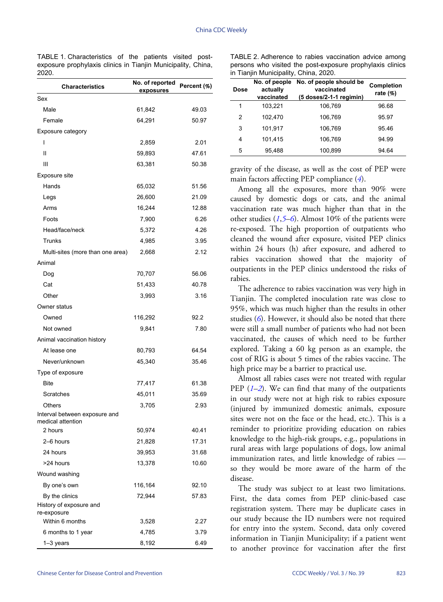<span id="page-1-0"></span>TABLE 1. Characteristics of the patients visited postexposure prophylaxis clinics in Tianjin Municipality, China, 2020.

| <b>Characteristics</b>                             | No. of reported<br><u>exposures</u> | Percent (%) |
|----------------------------------------------------|-------------------------------------|-------------|
| Sex                                                |                                     |             |
| Male                                               | 61,842                              | 49.03       |
| Female                                             | 64,291                              | 50.97       |
| <b>Exposure category</b>                           |                                     |             |
| ı                                                  | 2,859                               | 2.01        |
| Ш                                                  | 59,893                              | 47.61       |
| Ш                                                  | 63,381                              | 50.38       |
| Exposure site                                      |                                     |             |
| Hands                                              | 65,032                              | 51.56       |
| Legs                                               | 26,600                              | 21.09       |
| Arms                                               | 16,244                              | 12.88       |
| Foots                                              | 7,900                               | 6.26        |
| Head/face/neck                                     | 5,372                               | 4.26        |
| Trunks                                             | 4,985                               | 3.95        |
| Multi-sites (more than one area)                   | 2,668                               | 2.12        |
| Animal                                             |                                     |             |
| Dog                                                | 70,707                              | 56.06       |
| Cat                                                | 51,433                              | 40.78       |
| Other                                              | 3,993                               | 3.16        |
| Owner status                                       |                                     |             |
| Owned                                              | 116,292                             | 92.2        |
| Not owned                                          | 9,841                               | 7.80        |
| Animal vaccination history                         |                                     |             |
| At lease one                                       | 80,793                              | 64.54       |
| Never/unknown                                      | 45,340                              | 35.46       |
| Type of exposure                                   |                                     |             |
| <b>Bite</b>                                        | 77,417                              | 61.38       |
| Scratches                                          | 45,011                              | 35.69       |
| Others                                             | 3,705                               | 2.93        |
| Interval between exposure and<br>medical attention |                                     |             |
| 2 hours                                            | 50,974                              | 40.41       |
| 2-6 hours                                          | 21,828                              | 17.31       |
| 24 hours                                           | 39,953                              | 31.68       |
| >24 hours                                          | 13,378                              | 10.60       |
| Wound washing                                      |                                     |             |
| By one's own                                       | 116,164                             | 92.10       |
| By the clinics                                     | 72,944                              | 57.83       |
| History of exposure and<br>re-exposure             |                                     |             |
| Within 6 months                                    | 3,528                               | 2.27        |
| 6 months to 1 year                                 | 4,785                               | 3.79        |
| $1-3$ years                                        | 8,192                               | 6.49        |

<span id="page-1-1"></span>TABLE 2. Adherence to rabies vaccination advice among persons who visited the post-exposure prophylaxis clinics in Tianjin Municipality, China, 2020.

| <b>Dose</b> | No. of people<br>actually<br>vaccinated | No. of people should be<br>vaccinated<br>(5 doses/2-1-1 regimin) | Completion<br>rate $(\% )$ |
|-------------|-----------------------------------------|------------------------------------------------------------------|----------------------------|
| 1           | 103,221                                 | 106,769                                                          | 96.68                      |
| 2           | 102.470                                 | 106,769                                                          | 95.97                      |
| 3           | 101.917                                 | 106.769                                                          | 95.46                      |
| 4           | 101,415                                 | 106.769                                                          | 94.99                      |
| 5           | 95,488                                  | 100,899                                                          | 94.64                      |

gravity of the disease, as well as the cost of PEP were main factors affecting PEP compliance (*[4](#page-2-3)*).

Among all the exposures, more than 90% were caused by domestic dogs or cats, and the animal vaccination rate was much higher than that in the other studies (*[1](#page-2-0)*,*[5](#page-2-4)*–*[6](#page-2-5)*). Almost 10% of the patients were re-exposed. The high proportion of outpatients who cleaned the wound after exposure, visited PEP clinics within 24 hours (h) after exposure, and adhered to rabies vaccination showed that the majority of outpatients in the PEP clinics understood the risks of rabies.

The adherence to rabies vaccination was very high in Tianjin. The completed inoculation rate was close to 95%, w[hi](#page-2-5)ch was much higher than the results in other studies (*[6](#page-2-5)*). However, it should also be noted that there were still a small number of patients who had not been vaccinated, the causes of which need to be further explored. Taking a 60 kg person as an example, the cost of RIG is about 5 times of the rabies vaccine. The high price may be a barrier to practical use.

Al[mo](#page-2-0)[st](#page-2-1) all rabies cases were not treated with regular PEP (*[1](#page-2-0)*–*[2](#page-2-1)*). We can find that many of the outpatients in our study were not at high risk to rabies exposure (injured by immunized domestic animals, exposure sites were not on the face or the head, etc.). This is a reminder to prioritize providing education on rabies knowledge to the high-risk groups, e.g., populations in rural areas with large populations of dogs, low animal immunization rates, and little knowledge of rabies so they would be more aware of the harm of the disease.

The study was subject to at least two limitations. First, the data comes from PEP clinic-based case registration system. There may be duplicate cases in our study because the ID numbers were not required for entry into the system. Second, data only covered information in Tianjin Municipality; if a patient went to another province for vaccination after the first